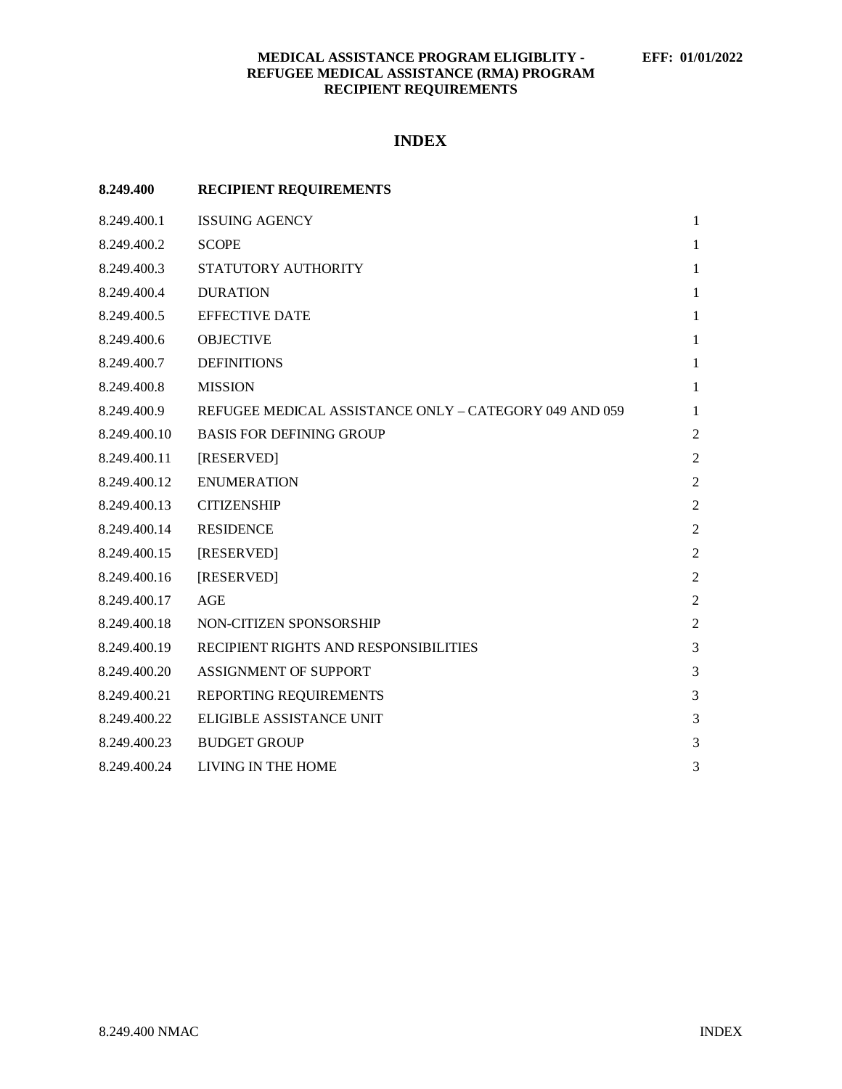# **INDEX**

| 8.249.400    | <b>RECIPIENT REQUIREMENTS</b>                          |                |
|--------------|--------------------------------------------------------|----------------|
| 8.249.400.1  | <b>ISSUING AGENCY</b>                                  | $\mathbf{1}$   |
| 8.249.400.2  | <b>SCOPE</b>                                           | $\mathbf{1}$   |
| 8.249.400.3  | STATUTORY AUTHORITY                                    | $\mathbf{1}$   |
| 8.249.400.4  | <b>DURATION</b>                                        | $\mathbf{1}$   |
| 8.249.400.5  | <b>EFFECTIVE DATE</b>                                  | $\mathbf{1}$   |
| 8.249.400.6  | <b>OBJECTIVE</b>                                       | $\mathbf{1}$   |
| 8.249.400.7  | <b>DEFINITIONS</b>                                     | $\mathbf{1}$   |
| 8.249.400.8  | <b>MISSION</b>                                         | $\mathbf{1}$   |
| 8.249.400.9  | REFUGEE MEDICAL ASSISTANCE ONLY - CATEGORY 049 AND 059 | $\mathbf{1}$   |
| 8.249.400.10 | <b>BASIS FOR DEFINING GROUP</b>                        | $\overline{2}$ |
| 8.249.400.11 | [RESERVED]                                             | $\mathfrak{2}$ |
| 8.249.400.12 | <b>ENUMERATION</b>                                     | $\mathfrak{2}$ |
| 8.249.400.13 | <b>CITIZENSHIP</b>                                     | $\overline{2}$ |
| 8.249.400.14 | <b>RESIDENCE</b>                                       | $\overline{2}$ |
| 8.249.400.15 | [RESERVED]                                             | $\overline{2}$ |
| 8.249.400.16 | [RESERVED]                                             | $\overline{2}$ |
| 8.249.400.17 | AGE                                                    | $\overline{2}$ |
| 8.249.400.18 | NON-CITIZEN SPONSORSHIP                                | $\overline{2}$ |
| 8.249.400.19 | RECIPIENT RIGHTS AND RESPONSIBILITIES                  | 3              |
| 8.249.400.20 | ASSIGNMENT OF SUPPORT                                  | 3              |
| 8.249.400.21 | REPORTING REQUIREMENTS                                 | 3              |
| 8.249.400.22 | <b>ELIGIBLE ASSISTANCE UNIT</b>                        | 3              |
| 8.249.400.23 | <b>BUDGET GROUP</b>                                    | 3              |
| 8.249.400.24 | LIVING IN THE HOME                                     | 3              |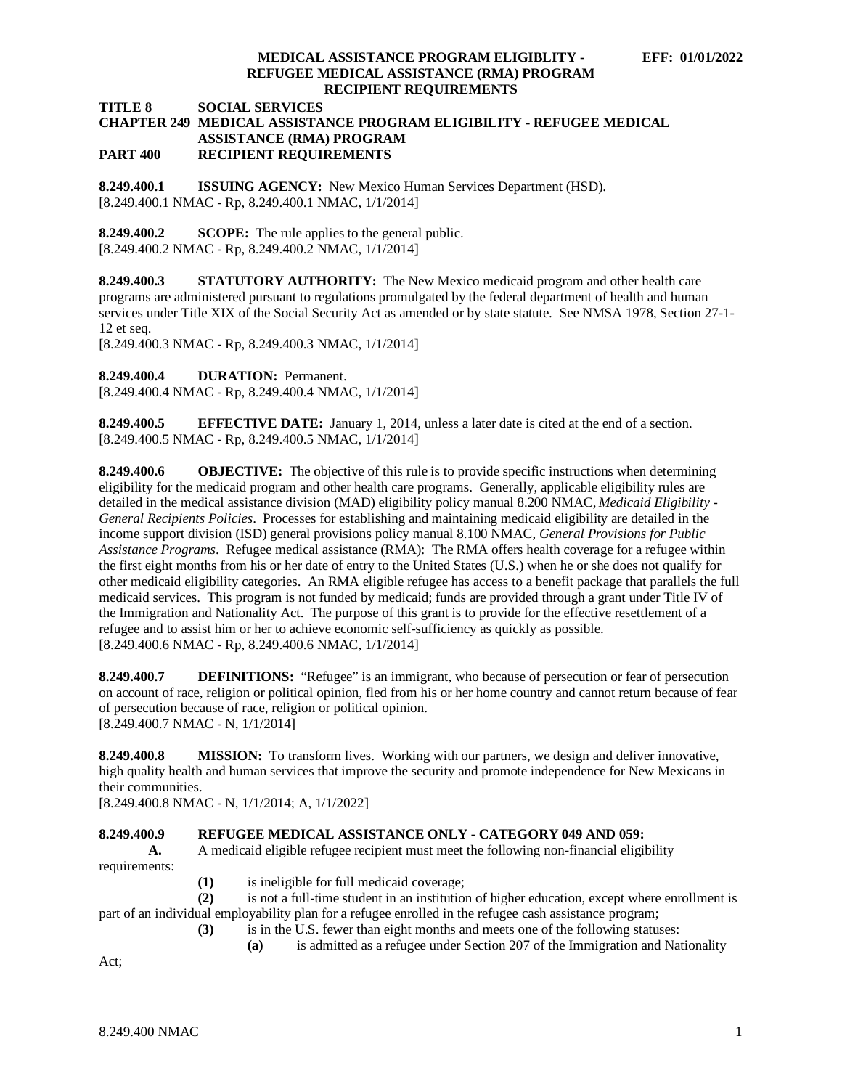**TITLE 8 SOCIAL SERVICES**

#### **CHAPTER 249 MEDICAL ASSISTANCE PROGRAM ELIGIBILITY - REFUGEE MEDICAL ASSISTANCE (RMA) PROGRAM PART 400 RECIPIENT REQUIREMENTS**

<span id="page-1-0"></span>**8.249.400.1 ISSUING AGENCY:** New Mexico Human Services Department (HSD). [8.249.400.1 NMAC - Rp, 8.249.400.1 NMAC, 1/1/2014]

<span id="page-1-1"></span>**8.249.400.2 SCOPE:** The rule applies to the general public. [8.249.400.2 NMAC - Rp, 8.249.400.2 NMAC, 1/1/2014]

<span id="page-1-2"></span>**8.249.400.3 STATUTORY AUTHORITY:** The New Mexico medicaid program and other health care programs are administered pursuant to regulations promulgated by the federal department of health and human services under Title XIX of the Social Security Act as amended or by state statute. See NMSA 1978, Section 27-1- 12 et seq.

[8.249.400.3 NMAC - Rp, 8.249.400.3 NMAC, 1/1/2014]

<span id="page-1-3"></span>**8.249.400.4 DURATION:** Permanent.

[8.249.400.4 NMAC - Rp, 8.249.400.4 NMAC, 1/1/2014]

<span id="page-1-4"></span>**8.249.400.5 EFFECTIVE DATE:** January 1, 2014, unless a later date is cited at the end of a section. [8.249.400.5 NMAC - Rp, 8.249.400.5 NMAC, 1/1/2014]

<span id="page-1-5"></span>**8.249.400.6 OBJECTIVE:** The objective of this rule is to provide specific instructions when determining eligibility for the medicaid program and other health care programs. Generally, applicable eligibility rules are detailed in the medical assistance division (MAD) eligibility policy manual 8.200 NMAC, *Medicaid Eligibility - General Recipients Policies*. Processes for establishing and maintaining medicaid eligibility are detailed in the income support division (ISD) general provisions policy manual 8.100 NMAC, *General Provisions for Public Assistance Programs*. Refugee medical assistance (RMA): The RMA offers health coverage for a refugee within the first eight months from his or her date of entry to the United States (U.S.) when he or she does not qualify for other medicaid eligibility categories. An RMA eligible refugee has access to a benefit package that parallels the full medicaid services. This program is not funded by medicaid; funds are provided through a grant under Title IV of the Immigration and Nationality Act. The purpose of this grant is to provide for the effective resettlement of a refugee and to assist him or her to achieve economic self-sufficiency as quickly as possible. [8.249.400.6 NMAC - Rp, 8.249.400.6 NMAC, 1/1/2014]

<span id="page-1-6"></span>**8.249.400.7 DEFINITIONS:** "Refugee" is an immigrant, who because of persecution or fear of persecution on account of race, religion or political opinion, fled from his or her home country and cannot return because of fear of persecution because of race, religion or political opinion. [8.249.400.7 NMAC - N, 1/1/2014]

<span id="page-1-7"></span>**8.249.400.8 MISSION:** To transform lives. Working with our partners, we design and deliver innovative, high quality health and human services that improve the security and promote independence for New Mexicans in their communities.

[8.249.400.8 NMAC - N, 1/1/2014; A, 1/1/2022]

## <span id="page-1-8"></span>**8.249.400.9 REFUGEE MEDICAL ASSISTANCE ONLY - CATEGORY 049 AND 059:**

**A.** A medicaid eligible refugee recipient must meet the following non-financial eligibility requirements:

**(1)** is ineligible for full medicaid coverage;

**(2)** is not a full-time student in an institution of higher education, except where enrollment is part of an individual employability plan for a refugee enrolled in the refugee cash assistance program;

- **(3)** is in the U.S. fewer than eight months and meets one of the following statuses:
	- **(a)** is admitted as a refugee under Section 207 of the Immigration and Nationality

Act;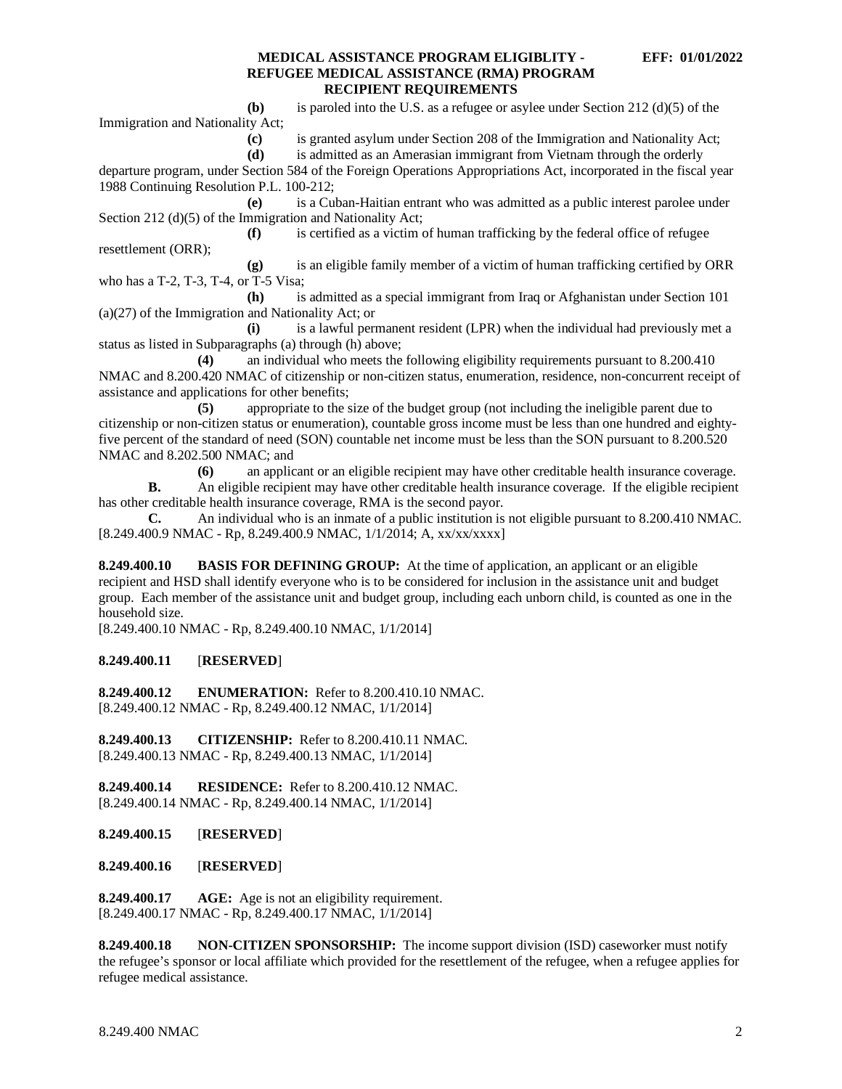**(b)** is paroled into the U.S. as a refugee or asylee under Section 212 (d)(5) of the Immigration and Nationality Act;

**(c)** is granted asylum under Section 208 of the Immigration and Nationality Act;

**(d)** is admitted as an Amerasian immigrant from Vietnam through the orderly

departure program, under Section 584 of the Foreign Operations Appropriations Act, incorporated in the fiscal year 1988 Continuing Resolution P.L. 100-212;

**(e)** is a Cuban-Haitian entrant who was admitted as a public interest parolee under Section 212 (d)(5) of the Immigration and Nationality Act;

**(f)** is certified as a victim of human trafficking by the federal office of refugee resettlement (ORR);

**(g)** is an eligible family member of a victim of human trafficking certified by ORR who has a T-2, T-3, T-4, or T-5 Visa;

**(h)** is admitted as a special immigrant from Iraq or Afghanistan under Section 101 (a)(27) of the Immigration and Nationality Act; or

**(i)** is a lawful permanent resident (LPR) when the individual had previously met a status as listed in Subparagraphs (a) through (h) above;

**(4)** an individual who meets the following eligibility requirements pursuant to 8.200.410 NMAC and 8.200.420 NMAC of citizenship or non-citizen status, enumeration, residence, non-concurrent receipt of assistance and applications for other benefits;

**(5)** appropriate to the size of the budget group (not including the ineligible parent due to citizenship or non-citizen status or enumeration), countable gross income must be less than one hundred and eightyfive percent of the standard of need (SON) countable net income must be less than the SON pursuant to 8.200.520 NMAC and 8.202.500 NMAC; and

**(6)** an applicant or an eligible recipient may have other creditable health insurance coverage.

**B.** An eligible recipient may have other creditable health insurance coverage. If the eligible recipient has other creditable health insurance coverage, RMA is the second payor.

**C.** An individual who is an inmate of a public institution is not eligible pursuant to 8.200.410 NMAC*.* [8.249.400.9 NMAC - Rp, 8.249.400.9 NMAC, 1/1/2014; A, xx/xx/xxxx]

<span id="page-2-0"></span>**8.249.400.10 BASIS FOR DEFINING GROUP:** At the time of application, an applicant or an eligible recipient and HSD shall identify everyone who is to be considered for inclusion in the assistance unit and budget group. Each member of the assistance unit and budget group, including each unborn child, is counted as one in the household size.

[8.249.400.10 NMAC - Rp, 8.249.400.10 NMAC, 1/1/2014]

#### <span id="page-2-1"></span>**8.249.400.11** [**RESERVED**]

<span id="page-2-2"></span>**8.249.400.12 ENUMERATION:** Refer to 8.200.410.10 NMAC. [8.249.400.12 NMAC - Rp, 8.249.400.12 NMAC, 1/1/2014]

<span id="page-2-3"></span>**8.249.400.13 CITIZENSHIP:** Refer to 8.200.410.11 NMAC. [8.249.400.13 NMAC - Rp, 8.249.400.13 NMAC, 1/1/2014]

<span id="page-2-4"></span>**8.249.400.14 RESIDENCE:** Refer to 8.200.410.12 NMAC. [8.249.400.14 NMAC - Rp, 8.249.400.14 NMAC, 1/1/2014]

<span id="page-2-5"></span>**8.249.400.15** [**RESERVED**]

<span id="page-2-6"></span>**8.249.400.16** [**RESERVED**]

<span id="page-2-7"></span>**8.249.400.17 AGE:** Age is not an eligibility requirement. [8.249.400.17 NMAC - Rp, 8.249.400.17 NMAC, 1/1/2014]

<span id="page-2-8"></span>**8.249.400.18 NON-CITIZEN SPONSORSHIP:** The income support division (ISD) caseworker must notify the refugee's sponsor or local affiliate which provided for the resettlement of the refugee, when a refugee applies for refugee medical assistance.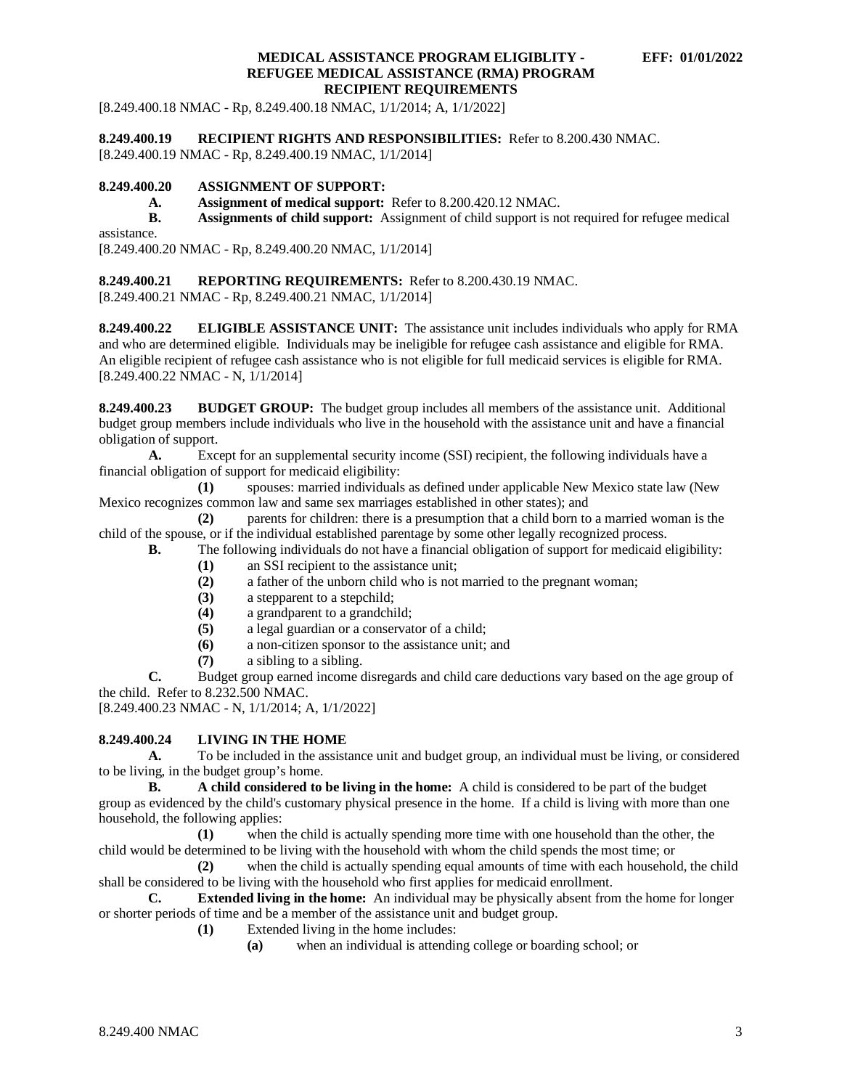[8.249.400.18 NMAC - Rp, 8.249.400.18 NMAC, 1/1/2014; A, 1/1/2022]

<span id="page-3-0"></span>**8.249.400.19 RECIPIENT RIGHTS AND RESPONSIBILITIES:** Refer to 8.200.430 NMAC.

[8.249.400.19 NMAC - Rp, 8.249.400.19 NMAC, 1/1/2014]

## <span id="page-3-1"></span>**8.249.400.20 ASSIGNMENT OF SUPPORT:**

**A. Assignment of medical support:** Refer to 8.200.420.12 NMAC.

**B. Assignments of child support:** Assignment of child support is not required for refugee medical

assistance.

[8.249.400.20 NMAC - Rp, 8.249.400.20 NMAC, 1/1/2014]

### <span id="page-3-2"></span>**8.249.400.21 REPORTING REQUIREMENTS:** Refer to 8.200.430.19 NMAC.

[8.249.400.21 NMAC - Rp, 8.249.400.21 NMAC, 1/1/2014]

<span id="page-3-3"></span>**8.249.400.22 ELIGIBLE ASSISTANCE UNIT:** The assistance unit includes individuals who apply for RMA and who are determined eligible. Individuals may be ineligible for refugee cash assistance and eligible for RMA. An eligible recipient of refugee cash assistance who is not eligible for full medicaid services is eligible for RMA. [8.249.400.22 NMAC - N, 1/1/2014]

<span id="page-3-4"></span>**8.249.400.23 BUDGET GROUP:** The budget group includes all members of the assistance unit. Additional budget group members include individuals who live in the household with the assistance unit and have a financial obligation of support.

**A.** Except for an supplemental security income (SSI) recipient, the following individuals have a financial obligation of support for medicaid eligibility:

**(1)** spouses: married individuals as defined under applicable New Mexico state law (New Mexico recognizes common law and same sex marriages established in other states); and

**(2)** parents for children: there is a presumption that a child born to a married woman is the child of the spouse, or if the individual established parentage by some other legally recognized process.

- **B.** The following individuals do not have a financial obligation of support for medicaid eligibility:
	- (1) an SSI recipient to the assistance unit;<br>(2) a father of the unborn child who is not
	- **(2)** a father of the unborn child who is not married to the pregnant woman;
	- **(3)** a stepparent to a stepchild;
	- (4) a grandparent to a grandchild;<br>(5) a legal guardian or a conservat
	- **(5)** a legal guardian or a conservator of a child;
	- **(6)** a non-citizen sponsor to the assistance unit; and
	- **(7)** a sibling to a sibling.

**C.** Budget group earned income disregards and child care deductions vary based on the age group of the child. Refer to 8.232.500 NMAC.

[8.249.400.23 NMAC - N, 1/1/2014; A, 1/1/2022]

## <span id="page-3-5"></span>**8.249.400.24 LIVING IN THE HOME**

**A.** To be included in the assistance unit and budget group, an individual must be living, or considered to be living, in the budget group's home.

**B. A child considered to be living in the home:** A child is considered to be part of the budget group as evidenced by the child's customary physical presence in the home. If a child is living with more than one household, the following applies:

**(1)** when the child is actually spending more time with one household than the other, the child would be determined to be living with the household with whom the child spends the most time; or

**(2)** when the child is actually spending equal amounts of time with each household, the child shall be considered to be living with the household who first applies for medicaid enrollment.

**C. Extended living in the home:** An individual may be physically absent from the home for longer or shorter periods of time and be a member of the assistance unit and budget group.

- **(1)** Extended living in the home includes:
	- **(a)** when an individual is attending college or boarding school; or